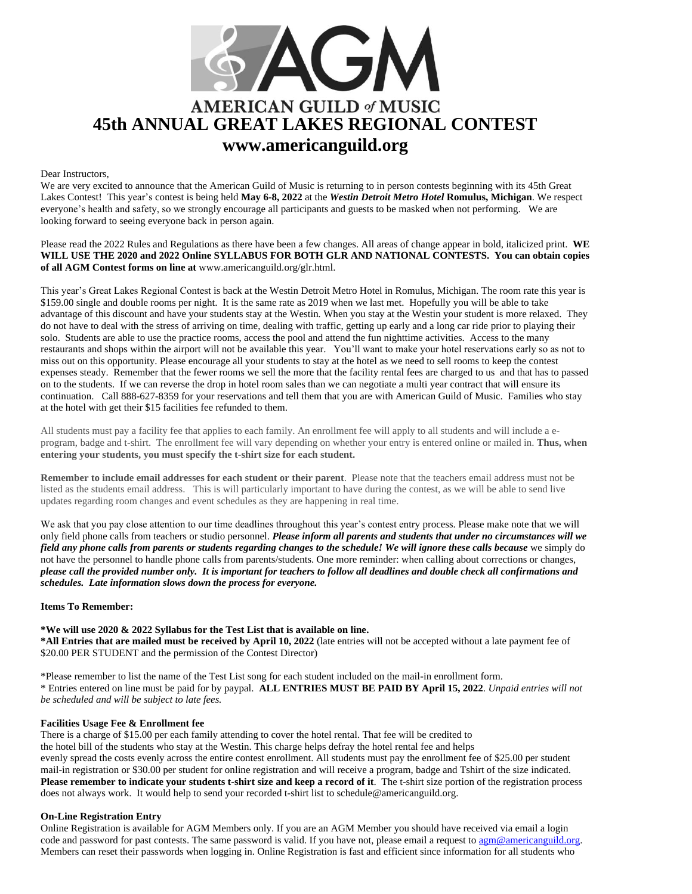

## Dear Instructors,

We are very excited to announce that the American Guild of Music is returning to in person contests beginning with its 45th Great Lakes Contest! This year's contest is being held **May 6-8, 2022** at the *Westin Detroit Metro Hotel* **Romulus, Michigan**. We respect everyone's health and safety, so we strongly encourage all participants and guests to be masked when not performing. We are looking forward to seeing everyone back in person again.

Please read the 2022 Rules and Regulations as there have been a few changes. All areas of change appear in bold, italicized print. **WE WILL USE THE 2020 and 2022 Online SYLLABUS FOR BOTH GLR AND NATIONAL CONTESTS. You can obtain copies of all AGM Contest forms on line at** [www.americanguild.org/glr.html.](http://www.americanguild.org/glr.html)

This year's Great Lakes Regional Contest is back at the Westin Detroit Metro Hotel in Romulus, Michigan. The room rate this year is \$159.00 single and double rooms per night. It is the same rate as 2019 when we last met. Hopefully you will be able to take advantage of this discount and have your students stay at the Westin*.* When you stay at the Westin your student is more relaxed. They do not have to deal with the stress of arriving on time, dealing with traffic, getting up early and a long car ride prior to playing their solo. Students are able to use the practice rooms, access the pool and attend the fun nighttime activities. Access to the many restaurants and shops within the airport will not be available this year. You'll want to make your hotel reservations early so as not to miss out on this opportunity. Please encourage all your students to stay at the hotel as we need to sell rooms to keep the contest expenses steady. Remember that the fewer rooms we sell the more that the facility rental fees are charged to us and that has to passed on to the students. If we can reverse the drop in hotel room sales than we can negotiate a multi year contract that will ensure its continuation. Call 888-627-8359 for your reservations and tell them that you are with American Guild of Music. Families who stay at the hotel with get their \$15 facilities fee refunded to them.

All students must pay a facility fee that applies to each family. An enrollment fee will apply to all students and will include a eprogram, badge and t-shirt. The enrollment fee will vary depending on whether your entry is entered online or mailed in. **Thus, when entering your students, you must specify the t-shirt size for each student.**

**Remember to include email addresses for each student or their parent**. Please note that the teachers email address must not be listed as the students email address. This is will particularly important to have during the contest, as we will be able to send live updates regarding room changes and event schedules as they are happening in real time.

We ask that you pay close attention to our time deadlines throughout this year's contest entry process. Please make note that we will only field phone calls from teachers or studio personnel. *Please inform all parents and students that under no circumstances will we field any phone calls from parents or students regarding changes to the schedule! We will ignore these calls because* we simply do not have the personnel to handle phone calls from parents/students. One more reminder: when calling about corrections or changes, *please call the provided number only. It is important for teachers to follow all deadlines and double check all confirmations and schedules. Late information slows down the process for everyone.* 

#### **Items To Remember:**

**\*We will use 2020 & 2022 Syllabus for the Test List that is available on line.**

**\*All Entries that are mailed must be received by April 10, 2022** (late entries will not be accepted without a late payment fee of \$20.00 PER STUDENT and the permission of the Contest Director)

\*Please remember to list the name of the Test List song for each student included on the mail-in enrollment form. \* Entries entered on line must be paid for by paypal. **ALL ENTRIES MUST BE PAID BY April 15, 2022**. *Unpaid entries will not be scheduled and will be subject to late fees.* 

#### **Facilities Usage Fee & Enrollment fee**

There is a charge of \$15.00 per each family attending to cover the hotel rental. That fee will be credited to the hotel bill of the students who stay at the Westin. This charge helps defray the hotel rental fee and helps evenly spread the costs evenly across the entire contest enrollment. All students must pay the enrollment fee of \$25.00 per student mail-in registration or \$30.00 per student for online registration and will receive a program, badge and Tshirt of the size indicated. **Please remember to indicate your students t-shirt size and keep a record of it**. The t-shirt size portion of the registration process does not always work. It would help to send your recorded t-shirt list to schedule@americanguild.org.

# **On-Line Registration Entry**

Online Registration is available for AGM Members only. If you are an AGM Member you should have received via email a login code and password for past contests. The same password is valid. If you have not, please email a request to  $\alpha$ gm@americanguild.org. Members can reset their passwords when logging in. Online Registration is fast and efficient since information for all students who